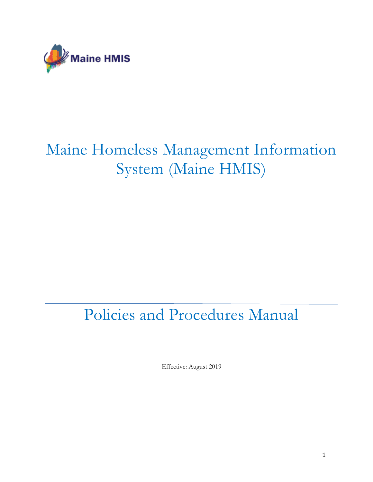

# Maine Homeless Management Information System (Maine HMIS)

# Policies and Procedures Manual

Effective: August 2019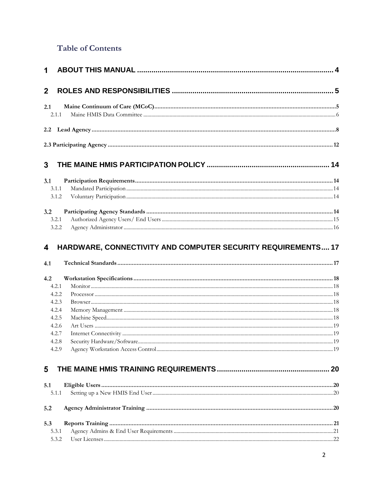### **Table of Contents**

| $\overline{2}$ |                                                              |  |
|----------------|--------------------------------------------------------------|--|
| 2.1            |                                                              |  |
| 2.1.1          |                                                              |  |
|                |                                                              |  |
|                |                                                              |  |
| 3              |                                                              |  |
|                |                                                              |  |
| 3.1            |                                                              |  |
| 3.1.1          |                                                              |  |
| 3.1.2          |                                                              |  |
| 3.2            |                                                              |  |
| 3.2.1          |                                                              |  |
| 3.2.2          |                                                              |  |
| 4<br>4.1       | HARDWARE, CONNECTIVITY AND COMPUTER SECURITY REQUIREMENTS 17 |  |
| 4.2            |                                                              |  |
| 4.2.1          |                                                              |  |
| 4.2.2          |                                                              |  |
| 4.2.3          |                                                              |  |
| 4.2.4          |                                                              |  |
| 4.2.5          |                                                              |  |
| 4.2.6          |                                                              |  |
| 4.2.7<br>4.2.8 |                                                              |  |
| 4.2.9          |                                                              |  |
|                |                                                              |  |
| 5              |                                                              |  |
| 5.1            |                                                              |  |
| 5.1.1          |                                                              |  |
| 5.2            |                                                              |  |
| 5.3            |                                                              |  |
| 5.3.1          |                                                              |  |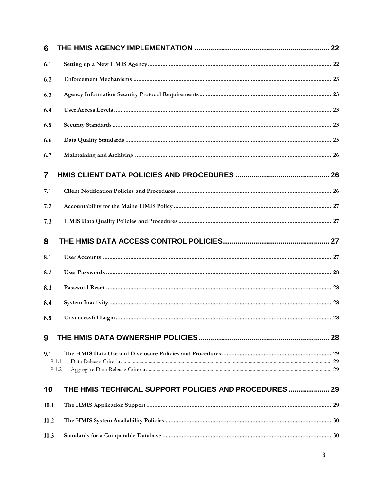| 6    |                                                       |  |
|------|-------------------------------------------------------|--|
| 6.1  |                                                       |  |
| 6.2  |                                                       |  |
| 6.3  |                                                       |  |
| 6.4  |                                                       |  |
| 6.5  |                                                       |  |
| 6.6  |                                                       |  |
| 6.7  |                                                       |  |
| 7    |                                                       |  |
| 7.1  |                                                       |  |
| 7.2  |                                                       |  |
| 7.3  |                                                       |  |
| 8    |                                                       |  |
| 8.1  |                                                       |  |
| 8.2  |                                                       |  |
| 8.3  |                                                       |  |
| 8.4  |                                                       |  |
| 8.5  |                                                       |  |
| 9    |                                                       |  |
| 9.1  | 9.1.1<br>9.1.2                                        |  |
| 10   | THE HMIS TECHNICAL SUPPORT POLICIES AND PROCEDURES 29 |  |
| 10.1 |                                                       |  |
| 10.2 |                                                       |  |
| 10.3 |                                                       |  |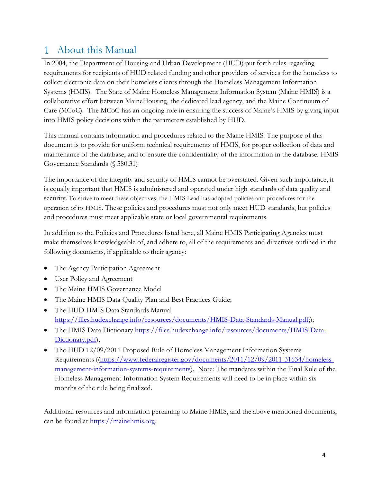#### <span id="page-3-0"></span>About this Manual  $\mathbf{1}$

In 2004, the Department of Housing and Urban Development (HUD) put forth rules regarding requirements for recipients of HUD related funding and other providers of services for the homeless to collect electronic data on their homeless clients through the Homeless Management Information Systems (HMIS). The State of Maine Homeless Management Information System (Maine HMIS) is a collaborative effort between MaineHousing, the dedicated lead agency, and the Maine Continuum of Care (MCoC). The MCoC has an ongoing role in ensuring the success of Maine's HMIS by giving input into HMIS policy decisions within the parameters established by HUD.

This manual contains information and procedures related to the Maine HMIS. The purpose of this document is to provide for uniform technical requirements of HMIS, for proper collection of data and maintenance of the database, and to ensure the confidentiality of the information in the database. HMIS Governance Standards (§ 580.31)

The importance of the integrity and security of HMIS cannot be overstated. Given such importance, it is equally important that HMIS is administered and operated under high standards of data quality and security. To strive to meet these objectives, the HMIS Lead has adopted policies and procedures for the operation of its HMIS. These policies and procedures must not only meet HUD standards, but policies and procedures must meet applicable state or local governmental requirements.

In addition to the Policies and Procedures listed here, all Maine HMIS Participating Agencies must make themselves knowledgeable of, and adhere to, all of the requirements and directives outlined in the following documents, if applicable to their agency:

- The Agency Participation Agreement
- User Policy and Agreement
- The Maine HMIS Governance Model
- The Maine HMIS Data Quality Plan and Best Practices Guide;
- The HUD HMIS Data Standards Manual [https://files.hudexchange.info/resources/documents/HMIS-Data-Standards-Manual.pdf;](https://files.hudexchange.info/resources/documents/HMIS-Data-Standards-Manual.pdf));
- The HMIS Data Dictionary [https://files.hudexchange.info/resources/documents/HMIS-Data-](https://files.hudexchange.info/resources/documents/HMIS-Data-Dictionary.pdf)[Dictionary.pdf\)](https://files.hudexchange.info/resources/documents/HMIS-Data-Dictionary.pdf);
- The HUD 12/09/2011 Proposed Rule of Homeless Management Information Systems Requirements ([\(https://www.federalregister.gov/documents/2011/12/09/2011-31634/homeless](https://www.federalregister.gov/documents/2011/12/09/2011-31634/homeless-management-information-systems-requirements)[management-information-systems-requirements\)](https://www.federalregister.gov/documents/2011/12/09/2011-31634/homeless-management-information-systems-requirements). Note: The mandates within the Final Rule of the Homeless Management Information System Requirements will need to be in place within six months of the rule being finalized.

Additional resources and information pertaining to Maine HMIS, and the above mentioned documents, can be found at [https://mainehmis.org.](https://mainehmis.org/)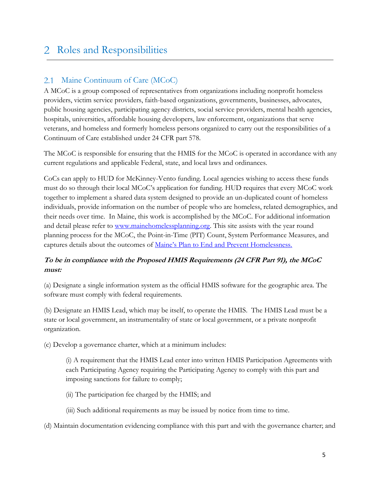## <span id="page-4-0"></span>2 Roles and Responsibilities

#### <span id="page-4-1"></span>2.1 Maine Continuum of Care (MCoC)

A MCoC is a group composed of representatives from organizations including nonprofit homeless providers, victim service providers, faith-based organizations, governments, businesses, advocates, public housing agencies, participating agency districts, social service providers, mental health agencies, hospitals, universities, affordable housing developers, law enforcement, organizations that serve veterans, and homeless and formerly homeless persons organized to carry out the responsibilities of a Continuum of Care established under 24 CFR part 578.

The MCoC is responsible for ensuring that the HMIS for the MCoC is operated in accordance with any current regulations and applicable Federal, state, and local laws and ordinances.

CoCs can apply to HUD for McKinney-Vento funding. Local agencies wishing to access these funds must do so through their local MCoC's application for funding. HUD requires that every MCoC work together to implement a shared data system designed to provide an un-duplicated count of homeless individuals, provide information on the number of people who are homeless, related demographics, and their needs over time. In Maine, this work is accomplished by the MCoC. For additional information and detail please refer to [www.mainehomelessplanning.org.](file://///aug-fileserver4/dept/Homeless%20Initiatives/HMIS/_Governance%20Documents/In%20Progress%202017/www.mainehomelessplanning.org) This site assists with the year round planning process for the MCoC, the Point-in-Time (PIT) Count, System Performance Measures, and captures details about the outcomes of [Maine's Plan to End and Prevent Ho](http://www.mainehousing.org/docs/default-source/housing-reports/2017-maine-plan-to-end-and-prevent-homelessness.pdf?sfvrsn=9f46a115_2)melessness.

#### **To be in compliance with the Proposed HMIS Requirements (24 CFR Part 91), the MCoC must:**

(a) Designate a single information system as the official HMIS software for the geographic area. The software must comply with federal requirements.

(b) Designate an HMIS Lead, which may be itself, to operate the HMIS. The HMIS Lead must be a state or local government, an instrumentality of state or local government, or a private nonprofit organization.

(c) Develop a governance charter, which at a minimum includes:

(i) A requirement that the HMIS Lead enter into written HMIS Participation Agreements with each Participating Agency requiring the Participating Agency to comply with this part and imposing sanctions for failure to comply;

- (ii) The participation fee charged by the HMIS; and
- (iii) Such additional requirements as may be issued by notice from time to time.

(d) Maintain documentation evidencing compliance with this part and with the governance charter; and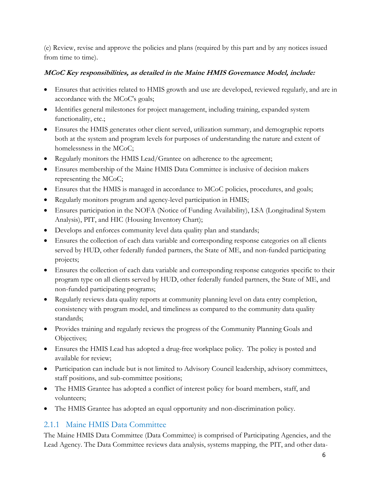(e) Review, revise and approve the policies and plans (required by this part and by any notices issued from time to time).

#### **MCoC Key responsibilities, as detailed in the Maine HMIS Governance Model, include:**

- Ensures that activities related to HMIS growth and use are developed, reviewed regularly, and are in accordance with the MCoC's goals;
- Identifies general milestones for project management, including training, expanded system functionality, etc.;
- Ensures the HMIS generates other client served, utilization summary, and demographic reports both at the system and program levels for purposes of understanding the nature and extent of homelessness in the MCoC;
- Regularly monitors the HMIS Lead/Grantee on adherence to the agreement;
- Ensures membership of the Maine HMIS Data Committee is inclusive of decision makers representing the MCoC;
- Ensures that the HMIS is managed in accordance to MCoC policies, procedures, and goals;
- Regularly monitors program and agency-level participation in HMIS;
- Ensures participation in the NOFA (Notice of Funding Availability), LSA (Longitudinal System Analysis), PIT, and HIC (Housing Inventory Chart);
- Develops and enforces community level data quality plan and standards;
- Ensures the collection of each data variable and corresponding response categories on all clients served by HUD, other federally funded partners, the State of ME, and non-funded participating projects;
- Ensures the collection of each data variable and corresponding response categories specific to their program type on all clients served by HUD, other federally funded partners, the State of ME, and non-funded participating programs;
- Regularly reviews data quality reports at community planning level on data entry completion, consistency with program model, and timeliness as compared to the community data quality standards;
- Provides training and regularly reviews the progress of the Community Planning Goals and Objectives;
- Ensures the HMIS Lead has adopted a drug-free workplace policy. The policy is posted and available for review;
- Participation can include but is not limited to Advisory Council leadership, advisory committees, staff positions, and sub-committee positions;
- The HMIS Grantee has adopted a conflict of interest policy for board members, staff, and volunteers;
- The HMIS Grantee has adopted an equal opportunity and non-discrimination policy.

### <span id="page-5-0"></span>2.1.1 Maine HMIS Data Committee

The Maine HMIS Data Committee (Data Committee) is comprised of Participating Agencies, and the Lead Agency. The Data Committee reviews data analysis, systems mapping, the PIT, and other data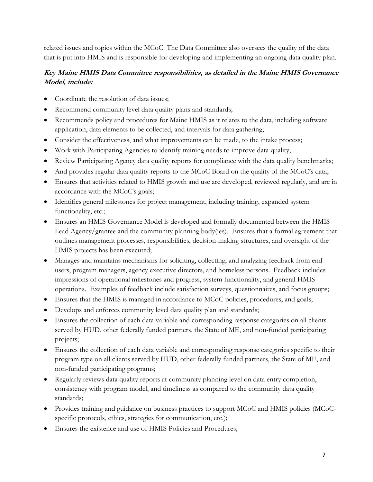related issues and topics within the MCoC. The Data Committee also oversees the quality of the data that is put into HMIS and is responsible for developing and implementing an ongoing data quality plan.

#### **Key Maine HMIS Data Committee responsibilities, as detailed in the Maine HMIS Governance Model, include:**

- Coordinate the resolution of data issues;
- Recommend community level data quality plans and standards;
- Recommends policy and procedures for Maine HMIS as it relates to the data, including software application, data elements to be collected, and intervals for data gathering;
- Consider the effectiveness, and what improvements can be made, to the intake process;
- Work with Participating Agencies to identify training needs to improve data quality;
- Review Participating Agency data quality reports for compliance with the data quality benchmarks;
- And provides regular data quality reports to the MCoC Board on the quality of the MCoC's data;
- Ensures that activities related to HMIS growth and use are developed, reviewed regularly, and are in accordance with the MCoC's goals;
- Identifies general milestones for project management, including training, expanded system functionality, etc.;
- Ensures an HMIS Governance Model is developed and formally documented between the HMIS Lead Agency/grantee and the community planning body(ies). Ensures that a formal agreement that outlines management processes, responsibilities, decision-making structures, and oversight of the HMIS projects has been executed;
- Manages and maintains mechanisms for soliciting, collecting, and analyzing feedback from end users, program managers, agency executive directors, and homeless persons. Feedback includes impressions of operational milestones and progress, system functionality, and general HMIS operations. Examples of feedback include satisfaction surveys, questionnaires, and focus groups;
- Ensures that the HMIS is managed in accordance to MCoC policies, procedures, and goals;
- Develops and enforces community level data quality plan and standards;
- Ensures the collection of each data variable and corresponding response categories on all clients served by HUD, other federally funded partners, the State of ME, and non-funded participating projects;
- Ensures the collection of each data variable and corresponding response categories specific to their program type on all clients served by HUD, other federally funded partners, the State of ME, and non-funded participating programs;
- Regularly reviews data quality reports at community planning level on data entry completion, consistency with program model, and timeliness as compared to the community data quality standards;
- Provides training and guidance on business practices to support MCoC and HMIS policies (MCoCspecific protocols, ethics, strategies for communication, etc.);
- Ensures the existence and use of HMIS Policies and Procedures;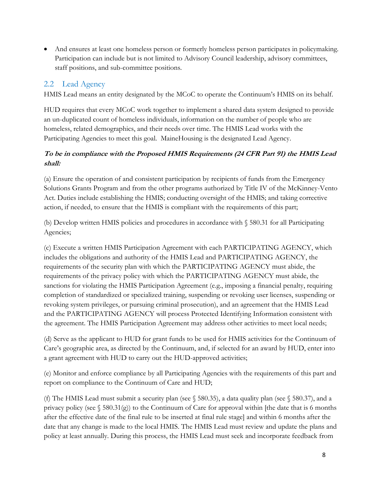And ensures at least one homeless person or formerly homeless person participates in policymaking. Participation can include but is not limited to Advisory Council leadership, advisory committees, staff positions, and sub-committee positions.

#### <span id="page-7-0"></span>2.2 Lead Agency

HMIS Lead means an entity designated by the MCoC to operate the Continuum's HMIS on its behalf.

HUD requires that every MCoC work together to implement a shared data system designed to provide an un-duplicated count of homeless individuals, information on the number of people who are homeless, related demographics, and their needs over time. The HMIS Lead works with the Participating Agencies to meet this goal. MaineHousing is the designated Lead Agency.

#### **To be in compliance with the Proposed HMIS Requirements (24 CFR Part 91) the HMIS Lead shall:**

(a) Ensure the operation of and consistent participation by recipients of funds from the Emergency Solutions Grants Program and from the other programs authorized by Title IV of the McKinney-Vento Act. Duties include establishing the HMIS; conducting oversight of the HMIS; and taking corrective action, if needed, to ensure that the HMIS is compliant with the requirements of this part;

(b) Develop written HMIS policies and procedures in accordance with § 580.31 for all Participating Agencies;

(c) Execute a written HMIS Participation Agreement with each PARTICIPATING AGENCY, which includes the obligations and authority of the HMIS Lead and PARTICIPATING AGENCY, the requirements of the security plan with which the PARTICIPATING AGENCY must abide, the requirements of the privacy policy with which the PARTICIPATING AGENCY must abide, the sanctions for violating the HMIS Participation Agreement (e.g., imposing a financial penalty, requiring completion of standardized or specialized training, suspending or revoking user licenses, suspending or revoking system privileges, or pursuing criminal prosecution), and an agreement that the HMIS Lead and the PARTICIPATING AGENCY will process Protected Identifying Information consistent with the agreement. The HMIS Participation Agreement may address other activities to meet local needs;

(d) Serve as the applicant to HUD for grant funds to be used for HMIS activities for the Continuum of Care's geographic area, as directed by the Continuum, and, if selected for an award by HUD, enter into a grant agreement with HUD to carry out the HUD-approved activities;

(e) Monitor and enforce compliance by all Participating Agencies with the requirements of this part and report on compliance to the Continuum of Care and HUD;

(f) The HMIS Lead must submit a security plan (see § 580.35), a data quality plan (see § 580.37), and a privacy policy (see § 580.31(g)) to the Continuum of Care for approval within [the date that is 6 months after the effective date of the final rule to be inserted at final rule stage] and within 6 months after the date that any change is made to the local HMIS. The HMIS Lead must review and update the plans and policy at least annually. During this process, the HMIS Lead must seek and incorporate feedback from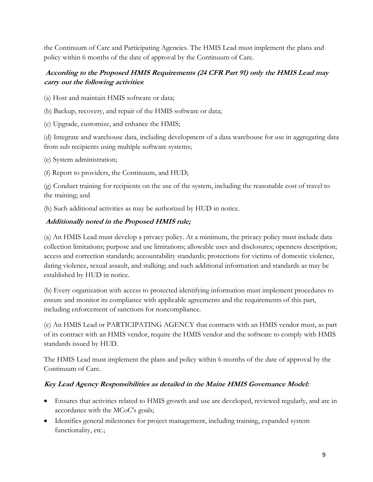the Continuum of Care and Participating Agencies. The HMIS Lead must implement the plans and policy within 6 months of the date of approval by the Continuum of Care.

#### **According to the Proposed HMIS Requirements (24 CFR Part 91) only the HMIS Lead may carry out the following activities**:

(a) Host and maintain HMIS software or data;

(b) Backup, recovery, and repair of the HMIS software or data;

(c) Upgrade, customize, and enhance the HMIS;

(d) Integrate and warehouse data, including development of a data warehouse for use in aggregating data from sub recipients using multiple software systems;

(e) System administration;

(f) Report to providers, the Continuum, and HUD;

(g) Conduct training for recipients on the use of the system, including the reasonable cost of travel to the training; and

(h) Such additional activities as may be authorized by HUD in notice.

#### **Additionally noted in the Proposed HMIS rule;**

(a) An HMIS Lead must develop a privacy policy. At a minimum, the privacy policy must include data collection limitations; purpose and use limitations; allowable uses and disclosures; openness description; access and correction standards; accountability standards; protections for victims of domestic violence, dating violence, sexual assault, and stalking; and such additional information and standards as may be established by HUD in notice.

(b) Every organization with access to protected identifying information must implement procedures to ensure and monitor its compliance with applicable agreements and the requirements of this part, including enforcement of sanctions for noncompliance.

(c) An HMIS Lead or PARTICIPATING AGENCY that contracts with an HMIS vendor must, as part of its contract with an HMIS vendor, require the HMIS vendor and the software to comply with HMIS standards issued by HUD.

The HMIS Lead must implement the plans and policy within 6 months of the date of approval by the Continuum of Care.

#### **Key Lead Agency Responsibilities as detailed in the Maine HMIS Governance Model:**

- Ensures that activities related to HMIS growth and use are developed, reviewed regularly, and are in accordance with the MCoC's goals;
- Identifies general milestones for project management, including training, expanded system functionality, etc.;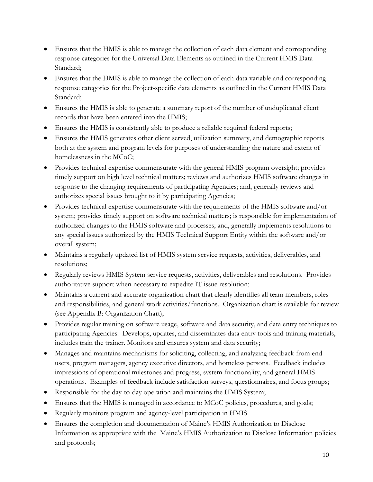- Ensures that the HMIS is able to manage the collection of each data element and corresponding response categories for the Universal Data Elements as outlined in the Current HMIS Data Standard;
- Ensures that the HMIS is able to manage the collection of each data variable and corresponding response categories for the Project-specific data elements as outlined in the Current HMIS Data Standard;
- Ensures the HMIS is able to generate a summary report of the number of unduplicated client records that have been entered into the HMIS;
- Ensures the HMIS is consistently able to produce a reliable required federal reports;
- Ensures the HMIS generates other client served, utilization summary, and demographic reports both at the system and program levels for purposes of understanding the nature and extent of homelessness in the MCoC;
- Provides technical expertise commensurate with the general HMIS program oversight; provides timely support on high level technical matters; reviews and authorizes HMIS software changes in response to the changing requirements of participating Agencies; and, generally reviews and authorizes special issues brought to it by participating Agencies;
- Provides technical expertise commensurate with the requirements of the HMIS software and/or system; provides timely support on software technical matters; is responsible for implementation of authorized changes to the HMIS software and processes; and, generally implements resolutions to any special issues authorized by the HMIS Technical Support Entity within the software and/or overall system;
- Maintains a regularly updated list of HMIS system service requests, activities, deliverables, and resolutions;
- Regularly reviews HMIS System service requests, activities, deliverables and resolutions. Provides authoritative support when necessary to expedite IT issue resolution;
- Maintains a current and accurate organization chart that clearly identifies all team members, roles and responsibilities, and general work activities/functions. Organization chart is available for review (see Appendix B: Organization Chart);
- Provides regular training on software usage, software and data security, and data entry techniques to participating Agencies. Develops, updates, and disseminates data entry tools and training materials, includes train the trainer. Monitors and ensures system and data security;
- Manages and maintains mechanisms for soliciting, collecting, and analyzing feedback from end users, program managers, agency executive directors, and homeless persons. Feedback includes impressions of operational milestones and progress, system functionality, and general HMIS operations. Examples of feedback include satisfaction surveys, questionnaires, and focus groups;
- Responsible for the day-to-day operation and maintains the HMIS System;
- Ensures that the HMIS is managed in accordance to MCoC policies, procedures, and goals;
- Regularly monitors program and agency-level participation in HMIS
- Ensures the completion and documentation of Maine's HMIS Authorization to Disclose Information as appropriate with the Maine's HMIS Authorization to Disclose Information policies and protocols;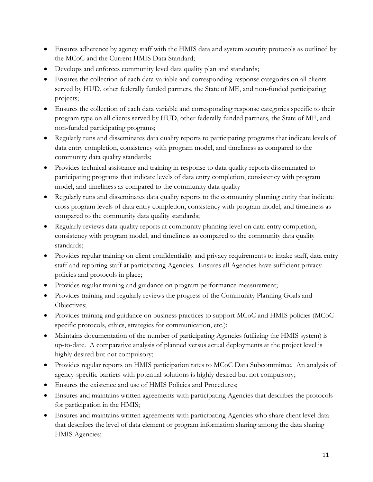- Ensures adherence by agency staff with the HMIS data and system security protocols as outlined by the MCoC and the Current HMIS Data Standard;
- Develops and enforces community level data quality plan and standards;
- Ensures the collection of each data variable and corresponding response categories on all clients served by HUD, other federally funded partners, the State of ME, and non-funded participating projects;
- Ensures the collection of each data variable and corresponding response categories specific to their program type on all clients served by HUD, other federally funded partners, the State of ME, and non-funded participating programs;
- Regularly runs and disseminates data quality reports to participating programs that indicate levels of data entry completion, consistency with program model, and timeliness as compared to the community data quality standards;
- Provides technical assistance and training in response to data quality reports disseminated to participating programs that indicate levels of data entry completion, consistency with program model, and timeliness as compared to the community data quality
- Regularly runs and disseminates data quality reports to the community planning entity that indicate cross program levels of data entry completion, consistency with program model, and timeliness as compared to the community data quality standards;
- Regularly reviews data quality reports at community planning level on data entry completion, consistency with program model, and timeliness as compared to the community data quality standards;
- Provides regular training on client confidentiality and privacy requirements to intake staff, data entry staff and reporting staff at participating Agencies. Ensures all Agencies have sufficient privacy policies and protocols in place;
- Provides regular training and guidance on program performance measurement;
- Provides training and regularly reviews the progress of the Community Planning Goals and Objectives;
- Provides training and guidance on business practices to support MCoC and HMIS policies (MCoCspecific protocols, ethics, strategies for communication, etc.);
- Maintains documentation of the number of participating Agencies (utilizing the HMIS system) is up-to-date. A comparative analysis of planned versus actual deployments at the project level is highly desired but not compulsory;
- Provides regular reports on HMIS participation rates to MCoC Data Subcommittee. An analysis of agency-specific barriers with potential solutions is highly desired but not compulsory;
- Ensures the existence and use of HMIS Policies and Procedures;
- Ensures and maintains written agreements with participating Agencies that describes the protocols for participation in the HMIS;
- Ensures and maintains written agreements with participating Agencies who share client level data that describes the level of data element or program information sharing among the data sharing HMIS Agencies;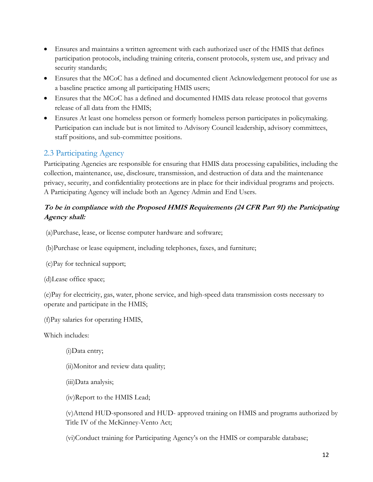- Ensures and maintains a written agreement with each authorized user of the HMIS that defines participation protocols, including training criteria, consent protocols, system use, and privacy and security standards;
- Ensures that the MCoC has a defined and documented client Acknowledgement protocol for use as a baseline practice among all participating HMIS users;
- Ensures that the MCoC has a defined and documented HMIS data release protocol that governs release of all data from the HMIS;
- Ensures At least one homeless person or formerly homeless person participates in policymaking. Participation can include but is not limited to Advisory Council leadership, advisory committees, staff positions, and sub-committee positions.

### <span id="page-11-0"></span>2.3 Participating Agency

Participating Agencies are responsible for ensuring that HMIS data processing capabilities, including the collection, maintenance, use, disclosure, transmission, and destruction of data and the maintenance privacy, security, and confidentiality protections are in place for their individual programs and projects. A Participating Agency will include both an Agency Admin and End Users.

#### **To be in compliance with the Proposed HMIS Requirements (24 CFR Part 91) the Participating Agency shall:**

(a)Purchase, lease, or license computer hardware and software;

(b)Purchase or lease equipment, including telephones, faxes, and furniture;

(c)Pay for technical support;

(d)Lease office space;

(e)Pay for electricity, gas, water, phone service, and high-speed data transmission costs necessary to operate and participate in the HMIS;

(f)Pay salaries for operating HMIS,

Which includes:

(i)Data entry;

(ii)Monitor and review data quality;

(iii)Data analysis;

(iv)Report to the HMIS Lead;

(v)Attend HUD-sponsored and HUD- approved training on HMIS and programs authorized by Title IV of the McKinney-Vento Act;

(vi)Conduct training for Participating Agency's on the HMIS or comparable database;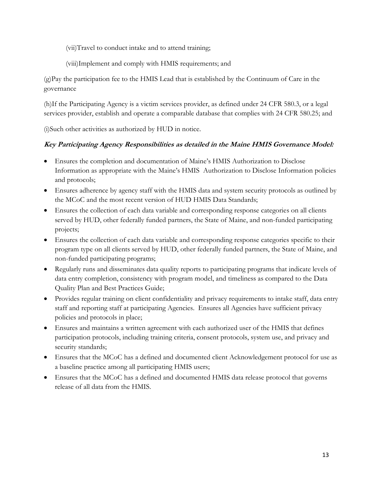(vii)Travel to conduct intake and to attend training;

(viii)Implement and comply with HMIS requirements; and

(g)Pay the participation fee to the HMIS Lead that is established by the Continuum of Care in the governance

(h)If the Participating Agency is a victim services provider, as defined under 24 CFR 580.3, or a legal services provider, establish and operate a comparable database that complies with 24 CFR 580.25; and

(i)Such other activities as authorized by HUD in notice.

#### **Key Participating Agency Responsibilities as detailed in the Maine HMIS Governance Model:**

- Ensures the completion and documentation of Maine's HMIS Authorization to Disclose Information as appropriate with the Maine's HMIS Authorization to Disclose Information policies and protocols;
- Ensures adherence by agency staff with the HMIS data and system security protocols as outlined by the MCoC and the most recent version of HUD HMIS Data Standards;
- Ensures the collection of each data variable and corresponding response categories on all clients served by HUD, other federally funded partners, the State of Maine, and non-funded participating projects;
- Ensures the collection of each data variable and corresponding response categories specific to their program type on all clients served by HUD, other federally funded partners, the State of Maine, and non-funded participating programs;
- Regularly runs and disseminates data quality reports to participating programs that indicate levels of data entry completion, consistency with program model, and timeliness as compared to the Data Quality Plan and Best Practices Guide;
- Provides regular training on client confidentiality and privacy requirements to intake staff, data entry staff and reporting staff at participating Agencies. Ensures all Agencies have sufficient privacy policies and protocols in place;
- Ensures and maintains a written agreement with each authorized user of the HMIS that defines participation protocols, including training criteria, consent protocols, system use, and privacy and security standards;
- Ensures that the MCoC has a defined and documented client Acknowledgement protocol for use as a baseline practice among all participating HMIS users;
- Ensures that the MCoC has a defined and documented HMIS data release protocol that governs release of all data from the HMIS.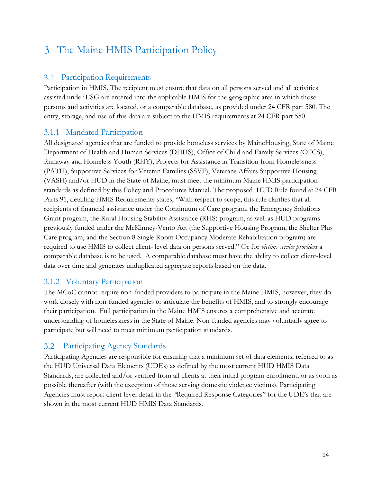## <span id="page-13-0"></span>The Maine HMIS Participation Policy

#### <span id="page-13-1"></span>Participation Requirements

Participation in HMIS. The recipient must ensure that data on all persons served and all activities assisted under ESG are entered into the applicable HMIS for the geographic area in which those persons and activities are located, or a comparable database, as provided under 24 CFR part 580. The entry, storage, and use of this data are subject to the HMIS requirements at 24 CFR part 580.

#### <span id="page-13-2"></span>3.1.1 Mandated Participation

All designated agencies that are funded to provide homeless services by MaineHousing, State of Maine Department of Health and Human Services (DHHS), Office of Child and Family Services (OFCS), Runaway and Homeless Youth (RHY), Projects for Assistance in Transition from Homelessness (PATH), Supportive Services for Veteran Families (SSVF), Veterans Affairs Supportive Housing (VASH) and/or HUD in the State of Maine, must meet the minimum Maine HMIS participation standards as defined by this Policy and Procedures Manual. The proposed HUD Rule found at 24 CFR Parts 91, detailing HMIS Requirements states; "With respect to scope, this rule clarifies that all recipients of financial assistance under the Continuum of Care program, the Emergency Solutions Grant program, the Rural Housing Stability Assistance (RHS) program, as well as HUD programs previously funded under the McKinney-Vento Act (the Supportive Housing Program, the Shelter Plus Care program, and the Section 8 Single Room Occupancy Moderate Rehabilitation program) are required to use HMIS to collect client- level data on persons served." Or for *victims service providers* a comparable database is to be used. A comparable database must have the ability to collect client-level data over time and generates unduplicated aggregate reports based on the data.

### <span id="page-13-3"></span>3.1.2 Voluntary Participation

The MCoC cannot require non-funded providers to participate in the Maine HMIS, however, they do work closely with non-funded agencies to articulate the benefits of HMIS, and to strongly encourage their participation. Full participation in the Maine HMIS ensures a comprehensive and accurate understanding of homelessness in the State of Maine. Non-funded agencies may voluntarily agree to participate but will need to meet minimum participation standards.

#### <span id="page-13-4"></span>Participating Agency Standards  $3.2\phantom{0}$

Participating Agencies are responsible for ensuring that a minimum set of data elements, referred to as the HUD Universal Data Elements (UDEs) as defined by the most current HUD HMIS Data Standards, are collected and/or verified from all clients at their initial program enrollment, or as soon as possible thereafter (with the exception of those serving domestic violence victims). Participating Agencies must report client-level detail in the *"*Required Response Categories" for the UDE's that are shown in the most current HUD HMIS Data Standards*.*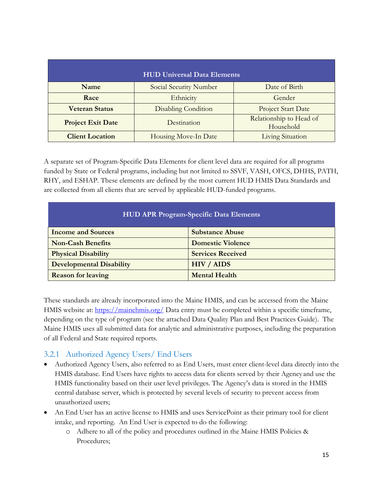| <b>HUD Universal Data Elements</b>      |                            |                                      |  |  |
|-----------------------------------------|----------------------------|--------------------------------------|--|--|
| <b>Name</b>                             | Social Security Number     | Date of Birth                        |  |  |
| Race                                    | Ethnicity                  | Gender                               |  |  |
| <b>Veteran Status</b>                   | <b>Disabling Condition</b> | Project Start Date                   |  |  |
| <b>Project Exit Date</b><br>Destination |                            | Relationship to Head of<br>Household |  |  |
| <b>Client Location</b>                  | Housing Move-In Date       | <b>Living Situation</b>              |  |  |

A separate set of Program-Specific Data Elements for client level data are required for all programs funded by State or Federal programs, including but not limited to SSVF, VASH, OFCS, DHHS, PATH, RHY, and ESHAP. These elements are defined by the most current HUD HMIS Data Standards and are collected from all clients that are served by applicable HUD-funded programs.

| <b>HUD APR Program-Specific Data Elements</b> |                          |  |  |
|-----------------------------------------------|--------------------------|--|--|
| <b>Income and Sources</b>                     | <b>Substance Abuse</b>   |  |  |
| <b>Non-Cash Benefits</b>                      | <b>Domestic Violence</b> |  |  |
| <b>Physical Disability</b>                    | <b>Services Received</b> |  |  |
| <b>Developmental Disability</b>               | <b>HIV / AIDS</b>        |  |  |
| <b>Reason for leaving</b>                     | <b>Mental Health</b>     |  |  |

These standards are already incorporated into the Maine HMIS, and can be accessed from the Maine HMIS website at: <https://mainehmis.org/> Data entry must be completed within a specific timeframe, depending on the type of program (see the attached Data Quality Plan and Best Practices Guide). The Maine HMIS uses all submitted data for analytic and administrative purposes, including the preparation of all Federal and State required reports.

#### <span id="page-14-0"></span>3.2.1 Authorized Agency Users/ End Users

- Authorized Agency Users, also referred to as End Users, must enter client-level data directly into the HMIS database. End Users have rights to access data for clients served by their Agency and use the HMIS functionality based on their user level privileges. The Agency's data is stored in the HMIS central database server, which is protected by several levels of security to prevent access from unauthorized users;
- An End User has an active license to HMIS and uses ServicePoint as their primary tool for client intake, and reporting. An End User is expected to do the following:
	- o Adhere to all of the policy and procedures outlined in the Maine HMIS Policies & Procedures;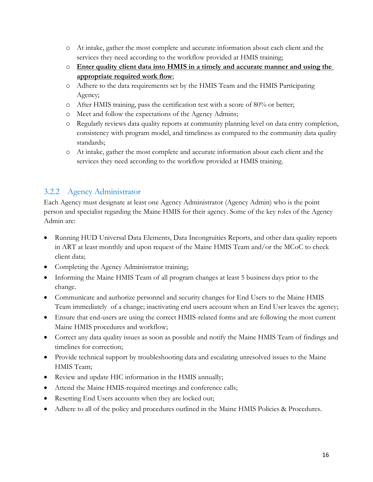- o At intake, gather the most complete and accurate information about each client and the services they need according to the workflow provided at HMIS training;
- o **Enter quality client data into HMIS in a timely and accurate manner and using the appropriate required work flow**;
- o Adhere to the data requirements set by the HMIS Team and the HMIS Participating Agency;
- o After HMIS training, pass the certification test with a score of 80% or better;
- o Meet and follow the expectations of the Agency Admins;
- o Regularly reviews data quality reports at community planning level on data entry completion, consistency with program model, and timeliness as compared to the community data quality standards;
- o At intake, gather the most complete and accurate information about each client and the services they need according to the workflow provided at HMIS training.

#### <span id="page-15-0"></span>3.2.2 Agency Administrator

Each Agency must designate at least one Agency Administrator (Agency Admin) who is the point person and specialist regarding the Maine HMIS for their agency. Some of the key roles of the Agency Admin are:

- Running HUD Universal Data Elements, Data Incongruities Reports, and other data quality reports in ART at least monthly and upon request of the Maine HMIS Team and/or the MCoC to check client data;
- Completing the Agency Administrator training;
- Informing the Maine HMIS Team of all program changes at least 5 business days prior to the change.
- Communicate and authorize personnel and security changes for End Users to the Maine HMIS Team immediately of a change; inactivating end users account when an End User leaves the agency;
- Ensure that end-users are using the correct HMIS-related forms and are following the most current Maine HMIS procedures and workflow;
- Correct any data quality issues as soon as possible and notify the Maine HMIS Team of findings and timelines for correction;
- Provide technical support by troubleshooting data and escalating unresolved issues to the Maine HMIS Team;
- Review and update HIC information in the HMIS annually;
- Attend the Maine HMIS-required meetings and conference calls;
- Resetting End Users accounts when they are locked out;
- Adhere to all of the policy and procedures outlined in the Maine HMIS Policies & Procedures.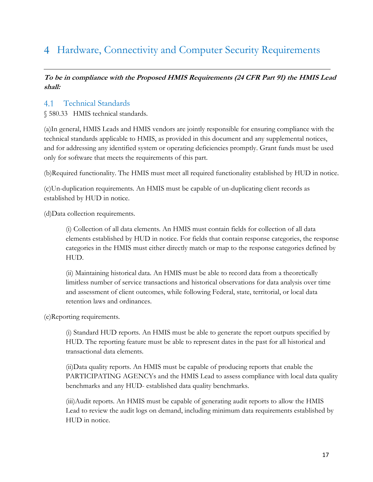## <span id="page-16-0"></span>Hardware, Connectivity and Computer Security Requirements

#### **To be in compliance with the Proposed HMIS Requirements (24 CFR Part 91) the HMIS Lead shall:**

#### <span id="page-16-1"></span>4.1 Technical Standards

§ 580.33 HMIS technical standards.

(a)In general, HMIS Leads and HMIS vendors are jointly responsible for ensuring compliance with the technical standards applicable to HMIS, as provided in this document and any supplemental notices, and for addressing any identified system or operating deficiencies promptly. Grant funds must be used only for software that meets the requirements of this part.

(b)Required functionality. The HMIS must meet all required functionality established by HUD in notice.

(c)Un-duplication requirements. An HMIS must be capable of un-duplicating client records as established by HUD in notice.

(d)Data collection requirements.

(i) Collection of all data elements. An HMIS must contain fields for collection of all data elements established by HUD in notice. For fields that contain response categories, the response categories in the HMIS must either directly match or map to the response categories defined by HUD.

(ii) Maintaining historical data. An HMIS must be able to record data from a theoretically limitless number of service transactions and historical observations for data analysis over time and assessment of client outcomes, while following Federal, state, territorial, or local data retention laws and ordinances.

(e)Reporting requirements.

(i) Standard HUD reports. An HMIS must be able to generate the report outputs specified by HUD. The reporting feature must be able to represent dates in the past for all historical and transactional data elements.

(ii)Data quality reports. An HMIS must be capable of producing reports that enable the PARTICIPATING AGENCYs and the HMIS Lead to assess compliance with local data quality benchmarks and any HUD- established data quality benchmarks.

(iii)Audit reports. An HMIS must be capable of generating audit reports to allow the HMIS Lead to review the audit logs on demand, including minimum data requirements established by HUD in notice.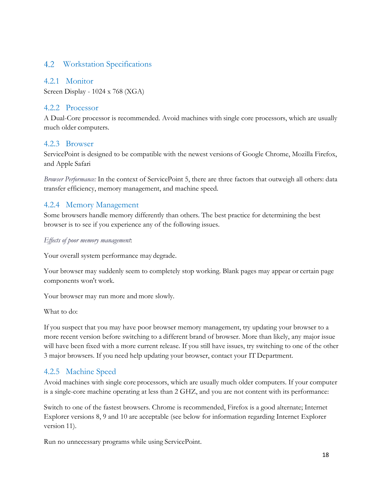#### <span id="page-17-0"></span>4.2 Workstation Specifications

#### <span id="page-17-1"></span>4.2.1 Monitor

Screen Display - 1024 x 768 (XGA)

#### <span id="page-17-2"></span>4.2.2 Processor

A Dual-Core processor is recommended. Avoid machines with single core processors, which are usually much older computers.

#### <span id="page-17-3"></span>4.2.3 Browser

ServicePoint is designed to be compatible with the newest versions of Google Chrome, Mozilla Firefox, and Apple Safari

*Browser Performance:* In the context of ServicePoint 5, there are three factors that outweigh all others: data transfer efficiency, memory management, and machine speed.

#### <span id="page-17-4"></span>4.2.4 Memory Management

Some browsers handle memory differently than others. The best practice for determining the best browser is to see if you experience any of the following issues.

#### *Effects of poor memory management*:

Your overall system performance may degrade.

Your browser may suddenly seem to completely stop working. Blank pages may appear or certain page components won't work.

Your browser may run more and more slowly.

What to do:

If you suspect that you may have poor browser memory management, try updating your browser to a more recent version before switching to a different brand of browser. More than likely, any major issue will have been fixed with a more current release. If you still have issues, try switching to one of the other 3 major browsers. If you need help updating your browser, contact your IT Department.

#### <span id="page-17-5"></span>4.2.5 Machine Speed

Avoid machines with single core processors, which are usually much older computers. If your computer is a single-core machine operating at less than 2 GHZ, and you are not content with its performance:

Switch to one of the fastest browsers. Chrome is recommended, Firefox is a good alternate; Internet Explorer versions 8, 9 and 10 are acceptable (see below for information regarding Internet Explorer version 11).

Run no unnecessary programs while using ServicePoint.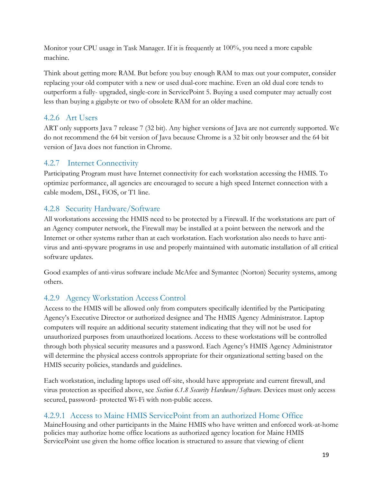Monitor your CPU usage in Task Manager. If it is frequently at 100%, you need a more capable machine.

Think about getting more RAM. But before you buy enough RAM to max out your computer, consider replacing your old computer with a new or used dual-core machine. Even an old dual core tends to outperform a fully- upgraded, single-core in ServicePoint 5. Buying a used computer may actually cost less than buying a gigabyte or two of obsolete RAM for an older machine.

#### <span id="page-18-0"></span>4.2.6 Art Users

ART only supports Java 7 release 7 (32 bit). Any higher versions of Java are not currently supported. We do not recommend the 64 bit version of Java because Chrome is a 32 bit only browser and the 64 bit version of Java does not function in Chrome.

#### <span id="page-18-1"></span>4.2.7 Internet Connectivity

Participating Program must have Internet connectivity for each workstation accessing the HMIS. To optimize performance, all agencies are encouraged to secure a high speed Internet connection with a cable modem, DSL, FiOS, or T1 line.

### <span id="page-18-2"></span>4.2.8 Security Hardware/Software

All workstations accessing the HMIS need to be protected by a Firewall. If the workstations are part of an Agency computer network, the Firewall may be installed at a point between the network and the Internet or other systems rather than at each workstation. Each workstation also needs to have antivirus and anti-spyware programs in use and properly maintained with automatic installation of all critical software updates.

Good examples of anti-virus software include McAfee and Symantec (Norton) Security systems, among others.

### <span id="page-18-3"></span>4.2.9 Agency Workstation Access Control

Access to the HMIS will be allowed only from computers specifically identified by the Participating Agency's Executive Director or authorized designee and The HMIS Agency Administrator. Laptop computers will require an additional security statement indicating that they will not be used for unauthorized purposes from unauthorized locations. Access to these workstations will be controlled through both physical security measures and a password. Each Agency's HMIS Agency Administrator will determine the physical access controls appropriate for their organizational setting based on the HMIS security policies, standards and guidelines.

Each workstation, including laptops used off-site, should have appropriate and current firewall, and virus protection as specified above, see *Section 6.1.8 Security Hardware/Software.* Devices must only access secured, password- protected Wi-Fi with non-public access.

#### 4.2.9.1 Access to Maine HMIS ServicePoint from an authorized Home Office

MaineHousing and other participants in the Maine HMIS who have written and enforced work-at-home policies may authorize home office locations as authorized agency location for Maine HMIS ServicePoint use given the home office location is structured to assure that viewing of client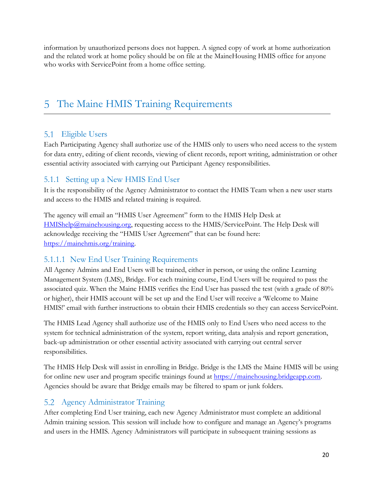information by unauthorized persons does not happen. A signed copy of work at home authorization and the related work at home policy should be on file at the MaineHousing HMIS office for anyone who works with ServicePoint from a home office setting.

## <span id="page-19-0"></span>5 The Maine HMIS Training Requirements

### <span id="page-19-1"></span>5.1 Eligible Users

Each Participating Agency shall authorize use of the HMIS only to users who need access to the system for data entry, editing of client records, viewing of client records, report writing, administration or other essential activity associated with carrying out Participant Agency responsibilities.

#### <span id="page-19-2"></span>5.1.1 Setting up a New HMIS End User

It is the responsibility of the Agency Administrator to contact the HMIS Team when a new user starts and access to the HMIS and related training is required.

The agency will email an "HMIS User Agreement" form to the HMIS Help Desk at [HMIShelp@mainehousing.org,](mailto:HMIShelp@mainehousing.org) requesting access to the HMIS/ServicePoint. The Help Desk will acknowledge receiving the "HMIS User Agreement" that can be found here: [https://mainehmis.org/training.](https://mainehmis.org/training)

#### 5.1.1.1 New End User Training Requirements

All Agency Admins and End Users will be trained, either in person, or using the online Learning Management System (LMS), Bridge. For each training course, End Users will be required to pass the associated quiz. When the Maine HMIS verifies the End User has passed the test (with a grade of 80% or higher), their HMIS account will be set up and the End User will receive a 'Welcome to Maine HMIS!' email with further instructions to obtain their HMIS credentials so they can access ServicePoint.

The HMIS Lead Agency shall authorize use of the HMIS only to End Users who need access to the system for technical administration of the system, report writing, data analysis and report generation, back-up administration or other essential activity associated with carrying out central server responsibilities.

The HMIS Help Desk will assist in enrolling in Bridge. Bridge is the LMS the Maine HMIS will be using for online new user and program specific trainings found at [https://mainehousing.bridgeapp.com.](https://mainehousing.bridgeapp.com/) Agencies should be aware that Bridge emails may be filtered to spam or junk folders.

#### <span id="page-19-3"></span>Agency Administrator Training 5.2

After completing End User training, each new Agency Administrator must complete an additional Admin training session. This session will include how to configure and manage an Agency's programs and users in the HMIS. Agency Administrators will participate in subsequent training sessions as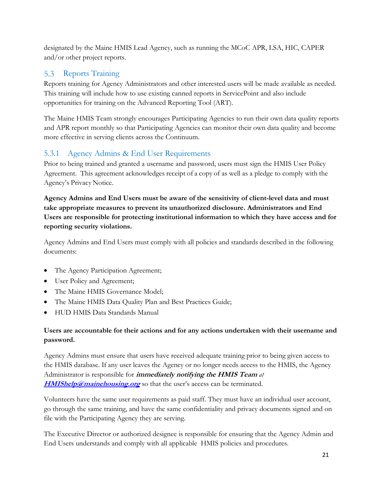designated by the Maine HMIS Lead Agency, such as running the MCoC APR, LSA, HIC, CAPER and/or other project reports.

### <span id="page-20-0"></span>5.3 Reports Training

Reports training for Agency Administrators and other interested users will be made available as needed. This training will include how to use existing canned reports in ServicePoint and also include opportunities for training on the Advanced Reporting Tool (ART).

The Maine HMIS Team strongly encourages Participating Agencies to run their own data quality reports and APR report monthly so that Participating Agencies can monitor their own data quality and become more effective in serving clients across the Continuum.

### <span id="page-20-1"></span>5.3.1 Agency Admins & End User Requirements

Prior to being trained and granted a username and password, users must sign the HMIS User Policy Agreement. This agreement acknowledges receipt of a copy of as well as a pledge to comply with the Agency's Privacy Notice.

#### **Agency Admins and End Users must be aware of the sensitivity of client-level data and must take appropriate measures to prevent its unauthorized disclosure. Administrators and End Users are responsible for protecting institutional information to which they have access and for reporting security violations.**

Agency Admins and End Users must comply with all policies and standards described in the following documents:

- The Agency Participation Agreement;
- User Policy and Agreement;
- The Maine HMIS Governance Model;
- The Maine HMIS Data Quality Plan and Best Practices Guide;
- HUD HMIS Data Standards Manual

#### **Users are accountable for their actions and for any actions undertaken with their username and password.**

Agency Admins must ensure that users have received adequate training prior to being given access to the HMIS database. If any user leaves the Agency or no longer needs access to the HMIS, the Agency Administrator is responsible for **immediately notifying the HMIS Team** *at*  **[HMIShelp@mainehousing.org](mailto:HMIShelp@mainehousing.org)** so that the user's access can be terminated.

Volunteers have the same user requirements as paid staff. They must have an individual user account, go through the same training, and have the same confidentiality and privacy documents signed and on file with the Participating Agency they are serving.

The Executive Director or authorized designee is responsible for ensuring that the Agency Admin and End Users understands and comply with all applicable HMIS policies and procedures.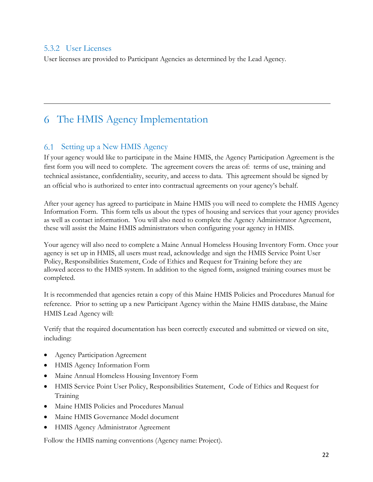#### <span id="page-21-0"></span>5.3.2 User Licenses

User licenses are provided to Participant Agencies as determined by the Lead Agency.

## <span id="page-21-1"></span>The HMIS Agency Implementation

#### <span id="page-21-2"></span>6.1 Setting up a New HMIS Agency

If your agency would like to participate in the Maine HMIS, the Agency Participation Agreement is the first form you will need to complete. The agreement covers the areas of: terms of use, training and technical assistance, confidentiality, security, and access to data. This agreement should be signed by an official who is authorized to enter into contractual agreements on your agency's behalf.

After your agency has agreed to participate in Maine HMIS you will need to complete the HMIS Agency Information Form. This form tells us about the types of housing and services that your agency provides as well as contact information. You will also need to complete the Agency Administrator Agreement, these will assist the Maine HMIS administrators when configuring your agency in HMIS.

Your agency will also need to complete a Maine Annual Homeless Housing Inventory Form. Once your agency is set up in HMIS, all users must read, acknowledge and sign the HMIS Service Point User Policy, Responsibilities Statement, Code of Ethics and Request for Training before they are allowed access to the HMIS system. In addition to the signed form, assigned training courses must be completed.

It is recommended that agencies retain a copy of this Maine HMIS Policies and Procedures Manual for reference. Prior to setting up a new Participant Agency within the Maine HMIS database, the Maine HMIS Lead Agency will:

Verify that the required documentation has been correctly executed and submitted or viewed on site, including:

- Agency Participation Agreement
- HMIS Agency Information Form
- Maine Annual Homeless Housing Inventory Form
- HMIS Service Point User Policy, Responsibilities Statement, Code of Ethics and Request for Training
- Maine HMIS Policies and Procedures Manual
- Maine HMIS Governance Model document
- HMIS Agency Administrator Agreement

Follow the HMIS naming conventions (Agency name: Project).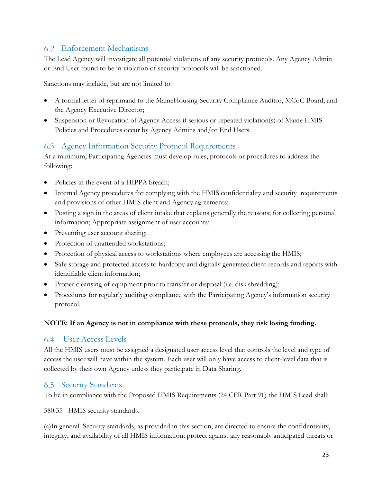#### <span id="page-22-0"></span>Enforcement Mechanisms

The Lead Agency will investigate all potential violations of any security protocols. Any Agency Admin or End User found to be in violation of security protocols will be sanctioned.

Sanctions may include, but are not limited to:

- A formal letter of reprimand to the MaineHousing Security Compliance Auditor, MCoC Board, and the Agency Executive Director;
- Suspension or Revocation of Agency Access if serious or repeated violation(s) of Maine HMIS Policies and Procedures occur by Agency Admins and/or End Users.

#### <span id="page-22-1"></span>Agency Information Security Protocol Requirements

At a minimum, Participating Agencies must develop rules, protocols or procedures to address the following:

- Policies in the event of a HIPPA breach;
- Internal Agency procedures for complying with the HMIS confidentiality and security requirements and provisions of other HMIS client and Agency agreements;
- Posting a sign in the areas of client intake that explains generally the reasons; for collecting personal information; Appropriate assignment of user accounts;
- Preventing user account sharing;
- Protection of unattended workstations;
- Protection of physical access to workstations where employees are accessing the HMIS;
- Safe storage and protected access to hardcopy and digitally generated client records and reports with identifiable client information;
- Proper cleansing of equipment prior to transfer or disposal (i.e. disk shredding);
- Procedures for regularly auditing compliance with the Participating Agency's information security protocol.

#### **NOTE: If an Agency is not in compliance with these protocols, they risk losing funding.**

#### <span id="page-22-2"></span>User Access Levels

All the HMIS users must be assigned a designated user access level that controls the level and type of access the user will have within the system. Each user will only have access to client-level data that is collected by their own Agency unless they participate in Data Sharing.

#### <span id="page-22-3"></span>**6.5** Security Standards

To be in compliance with the Proposed HMIS Requirements (24 CFR Part 91) the HMIS Lead shall:

580.35 HMIS security standards.

(a)In general. Security standards, as provided in this section, are directed to ensure the confidentiality, integrity, and availability of all HMIS information; protect against any reasonably anticipated threats or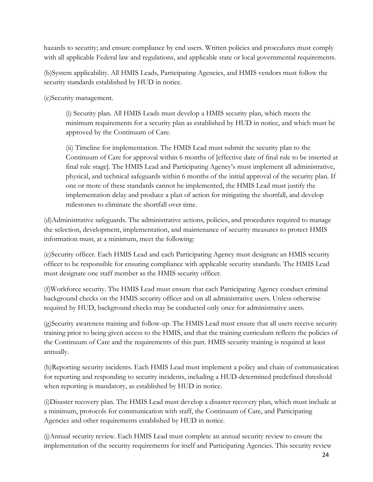hazards to security; and ensure compliance by end users. Written policies and procedures must comply with all applicable Federal law and regulations, and applicable state or local governmental requirements.

(b)System applicability. All HMIS Leads, Participating Agencies, and HMIS vendors must follow the security standards established by HUD in notice.

(c)Security management.

(i) Security plan. All HMIS Leads must develop a HMIS security plan, which meets the minimum requirements for a security plan as established by HUD in notice, and which must be approved by the Continuum of Care.

(ii) Timeline for implementation. The HMIS Lead must submit the security plan to the Continuum of Care for approval within 6 months of [effective date of final rule to be inserted at final rule stage]. The HMIS Lead and Participating Agency's must implement all administrative, physical, and technical safeguards within 6 months of the initial approval of the security plan. If one or more of these standards cannot be implemented, the HMIS Lead must justify the implementation delay and produce a plan of action for mitigating the shortfall, and develop milestones to eliminate the shortfall over time.

(d)Administrative safeguards. The administrative actions, policies, and procedures required to manage the selection, development, implementation, and maintenance of security measures to protect HMIS information must, at a minimum, meet the following:

(e)Security officer. Each HMIS Lead and each Participating Agency must designate an HMIS security officer to be responsible for ensuring compliance with applicable security standards. The HMIS Lead must designate one staff member as the HMIS security officer.

(f)Workforce security. The HMIS Lead must ensure that each Participating Agency conduct criminal background checks on the HMIS security officer and on all administrative users. Unless otherwise required by HUD, background checks may be conducted only once for administrative users.

(g)Security awareness training and follow-up. The HMIS Lead must ensure that all users receive security training prior to being given access to the HMIS, and that the training curriculum reflects the policies of the Continuum of Care and the requirements of this part. HMIS security training is required at least annually.

(h)Reporting security incidents. Each HMIS Lead must implement a policy and chain of communication for reporting and responding to security incidents, including a HUD-determined predefined threshold when reporting is mandatory, as established by HUD in notice.

(i)Disaster recovery plan. The HMIS Lead must develop a disaster recovery plan, which must include at a minimum, protocols for communication with staff, the Continuum of Care, and Participating Agencies and other requirements established by HUD in notice.

(j)Annual security review. Each HMIS Lead must complete an annual security review to ensure the implementation of the security requirements for itself and Participating Agencies. This security review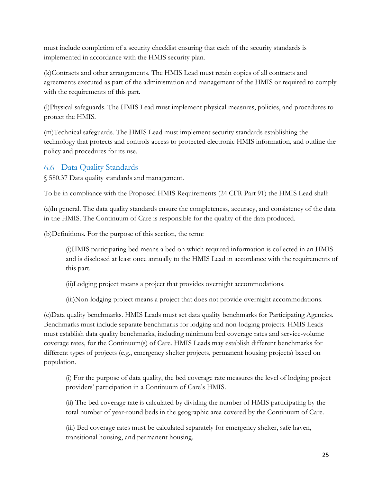must include completion of a security checklist ensuring that each of the security standards is implemented in accordance with the HMIS security plan.

(k)Contracts and other arrangements. The HMIS Lead must retain copies of all contracts and agreements executed as part of the administration and management of the HMIS or required to comply with the requirements of this part.

(l)Physical safeguards. The HMIS Lead must implement physical measures, policies, and procedures to protect the HMIS.

(m)Technical safeguards. The HMIS Lead must implement security standards establishing the technology that protects and controls access to protected electronic HMIS information, and outline the policy and procedures for its use.

### <span id="page-24-0"></span>Data Quality Standards

§ 580.37 Data quality standards and management.

To be in compliance with the Proposed HMIS Requirements (24 CFR Part 91) the HMIS Lead shall:

(a)In general. The data quality standards ensure the completeness, accuracy, and consistency of the data in the HMIS. The Continuum of Care is responsible for the quality of the data produced.

(b)Definitions. For the purpose of this section, the term:

(i)HMIS participating bed means a bed on which required information is collected in an HMIS and is disclosed at least once annually to the HMIS Lead in accordance with the requirements of this part.

(ii)Lodging project means a project that provides overnight accommodations.

(iii)Non-lodging project means a project that does not provide overnight accommodations.

(c)Data quality benchmarks. HMIS Leads must set data quality benchmarks for Participating Agencies. Benchmarks must include separate benchmarks for lodging and non-lodging projects. HMIS Leads must establish data quality benchmarks, including minimum bed coverage rates and service-volume coverage rates, for the Continuum(s) of Care. HMIS Leads may establish different benchmarks for different types of projects (e.g., emergency shelter projects, permanent housing projects) based on population.

(i) For the purpose of data quality, the bed coverage rate measures the level of lodging project providers' participation in a Continuum of Care's HMIS.

(ii) The bed coverage rate is calculated by dividing the number of HMIS participating by the total number of year-round beds in the geographic area covered by the Continuum of Care.

(iii) Bed coverage rates must be calculated separately for emergency shelter, safe haven, transitional housing, and permanent housing.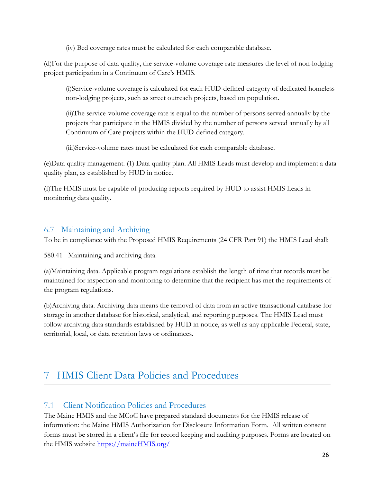(iv) Bed coverage rates must be calculated for each comparable database.

(d)For the purpose of data quality, the service-volume coverage rate measures the level of non-lodging project participation in a Continuum of Care's HMIS.

(i)Service-volume coverage is calculated for each HUD-defined category of dedicated homeless non-lodging projects, such as street outreach projects, based on population.

(ii)The service-volume coverage rate is equal to the number of persons served annually by the projects that participate in the HMIS divided by the number of persons served annually by all Continuum of Care projects within the HUD-defined category.

(iii)Service-volume rates must be calculated for each comparable database.

(e)Data quality management. (1) Data quality plan. All HMIS Leads must develop and implement a data quality plan, as established by HUD in notice.

(f)The HMIS must be capable of producing reports required by HUD to assist HMIS Leads in monitoring data quality.

#### <span id="page-25-0"></span>Maintaining and Archiving

To be in compliance with the Proposed HMIS Requirements (24 CFR Part 91) the HMIS Lead shall:

580.41 Maintaining and archiving data.

(a)Maintaining data. Applicable program regulations establish the length of time that records must be maintained for inspection and monitoring to determine that the recipient has met the requirements of the program regulations.

(b)Archiving data. Archiving data means the removal of data from an active transactional database for storage in another database for historical, analytical, and reporting purposes. The HMIS Lead must follow archiving data standards established by HUD in notice, as well as any applicable Federal, state, territorial, local, or data retention laws or ordinances.

## <span id="page-25-1"></span>HMIS Client Data Policies and Procedures

#### <span id="page-25-2"></span> $7.1$ Client Notification Policies and Procedures

The Maine HMIS and the MCoC have prepared standard documents for the HMIS release of information: the Maine HMIS Authorization for Disclosure Information Form. All written consent forms must be stored in a client's file for record keeping and auditing purposes. Forms are located on the HMIS website [https://maineHMIS.org/](https://mainehmis.org/)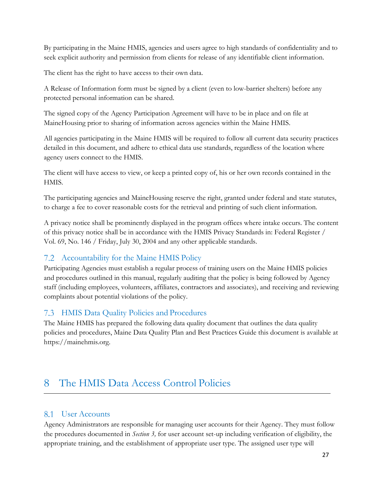By participating in the Maine HMIS, agencies and users agree to high standards of confidentiality and to seek explicit authority and permission from clients for release of any identifiable client information.

The client has the right to have access to their own data.

A Release of Information form must be signed by a client (even to low-barrier shelters) before any protected personal information can be shared.

The signed copy of the Agency Participation Agreement will have to be in place and on file at MaineHousing prior to sharing of information across agencies within the Maine HMIS.

All agencies participating in the Maine HMIS will be required to follow all current data security practices detailed in this document, and adhere to ethical data use standards, regardless of the location where agency users connect to the HMIS.

The client will have access to view, or keep a printed copy of, his or her own records contained in the HMIS.

The participating agencies and MaineHousing reserve the right, granted under federal and state statutes, to charge a fee to cover reasonable costs for the retrieval and printing of such client information.

A privacy notice shall be prominently displayed in the program offices where intake occurs. The content of this privacy notice shall be in accordance with the HMIS Privacy Standards in: Federal Register / Vol. 69, No. 146 / Friday, July 30, 2004 and any other applicable standards.

### <span id="page-26-0"></span>Accountability for the Maine HMIS Policy

Participating Agencies must establish a regular process of training users on the Maine HMIS policies and procedures outlined in this manual, regularly auditing that the policy is being followed by Agency staff (including employees, volunteers, affiliates, contractors and associates), and receiving and reviewing complaints about potential violations of the policy.

### <span id="page-26-1"></span>HMIS Data Quality Policies and Procedures

The Maine HMIS has prepared the following data quality document that outlines the data quality policies and procedures, Maine Data Quality Plan and Best Practices Guide this document is available at https://mainehmis.org.

#### <span id="page-26-2"></span>The HMIS Data Access Control Policies 8

### <span id="page-26-3"></span>8.1 User Accounts

Agency Administrators are responsible for managing user accounts for their Agency. They must follow the procedures documented in *Section 3,* for user account set-up including verification of eligibility, the appropriate training, and the establishment of appropriate user type. The assigned user type will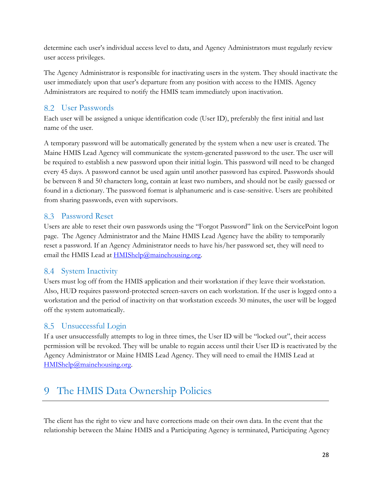determine each user's individual access level to data, and Agency Administrators must regularly review user access privileges.

The Agency Administrator is responsible for inactivating users in the system. They should inactivate the user immediately upon that user's departure from any position with access to the HMIS. Agency Administrators are required to notify the HMIS team immediately upon inactivation.

### <span id="page-27-0"></span>User Passwords

Each user will be assigned a unique identification code (User ID), preferably the first initial and last name of the user.

A temporary password will be automatically generated by the system when a new user is created. The Maine HMIS Lead Agency will communicate the system-generated password to the user. The user will be required to establish a new password upon their initial login. This password will need to be changed every 45 days. A password cannot be used again until another password has expired. Passwords should be between 8 and 50 characters long, contain at least two numbers, and should not be easily guessed or found in a dictionary. The password format is alphanumeric and is case-sensitive. Users are prohibited from sharing passwords, even with supervisors.

#### <span id="page-27-1"></span>Password Reset

Users are able to reset their own passwords using the "Forgot Password" link on the ServicePoint logon page. The Agency Administrator and the Maine HMIS Lead Agency have the ability to temporarily reset a password. If an Agency Administrator needs to have his/her password set, they will need to email the HMIS Lead at  $HMIShelp@mainehousing.org$ .

#### <span id="page-27-2"></span>8.4 System Inactivity

Users must log off from the HMIS application and their workstation if they leave their workstation. Also, HUD requires password-protected screen-savers on each workstation. If the user is logged onto a workstation and the period of inactivity on that workstation exceeds 30 minutes, the user will be logged off the system automatically.

### <span id="page-27-3"></span>8.5 Unsuccessful Login

If a user unsuccessfully attempts to log in three times, the User ID will be "locked out", their access permission will be revoked. They will be unable to regain access until their User ID is reactivated by the Agency Administrator or Maine HMIS Lead Agency. They will need to email the HMIS Lead at [HMIShelp@mainehousing.org.](mailto:HMIShelp@mainehousing.org)

## <span id="page-27-4"></span>The HMIS Data Ownership Policies

The client has the right to view and have corrections made on their own data. In the event that the relationship between the Maine HMIS and a Participating Agency is terminated, Participating Agency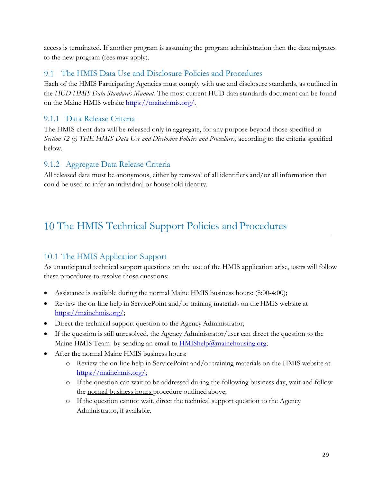access is terminated. If another program is assuming the program administration then the data migrates to the new program (fees may apply).

#### <span id="page-28-0"></span>The HMIS Data Use and Disclosure Policies and Procedures

Each of the HMIS Participating Agencies must comply with use and disclosure standards, as outlined in the *HUD HMIS Data Standards Manual.* The most current HUD data standards document can be found on the Maine HMIS website [https://mainehmis.org/.](https://mainehmis.org/)

#### <span id="page-28-1"></span>9.1.1 Data Release Criteria

The HMIS client data will be released only in aggregate, for any purpose beyond those specified in *Section 12 (c) THE HMIS Data Use and Disclosure Policies and Procedures*, according to the criteria specified below.

#### <span id="page-28-2"></span>9.1.2 Aggregate Data Release Criteria

All released data must be anonymous, either by removal of all identifiers and/or all information that could be used to infer an individual or household identity.

## <span id="page-28-3"></span>10 The HMIS Technical Support Policies and Procedures

### <span id="page-28-4"></span>10.1 The HMIS Application Support

As unanticipated technical support questions on the use of the HMIS application arise, users will follow these procedures to resolve those questions:

- Assistance is available during the normal Maine HMIS business hours: (8:00-4:00);
- Review the on-line help in ServicePoint and/or training materials on the HMIS website at [https://mainehmis.org/;](https://mainehmis.org/)
- Direct the technical support question to the Agency Administrator;
- If the question is still unresolved, the Agency Administrator/user can direct the question to the Maine HMIS Team by sending an email to **HMIShelp@mainehousing.org**;
- After the normal Maine HMIS business hours:
	- o Review the on-line help in ServicePoint and/or training materials on the HMIS website at [https://mainehmis.org/;](https://mainehmis.org/)
	- o If the question can wait to be addressed during the following business day, wait and follow the normal business hours procedure outlined above;
	- o If the question cannot wait, direct the technical support question to the Agency Administrator, if available.